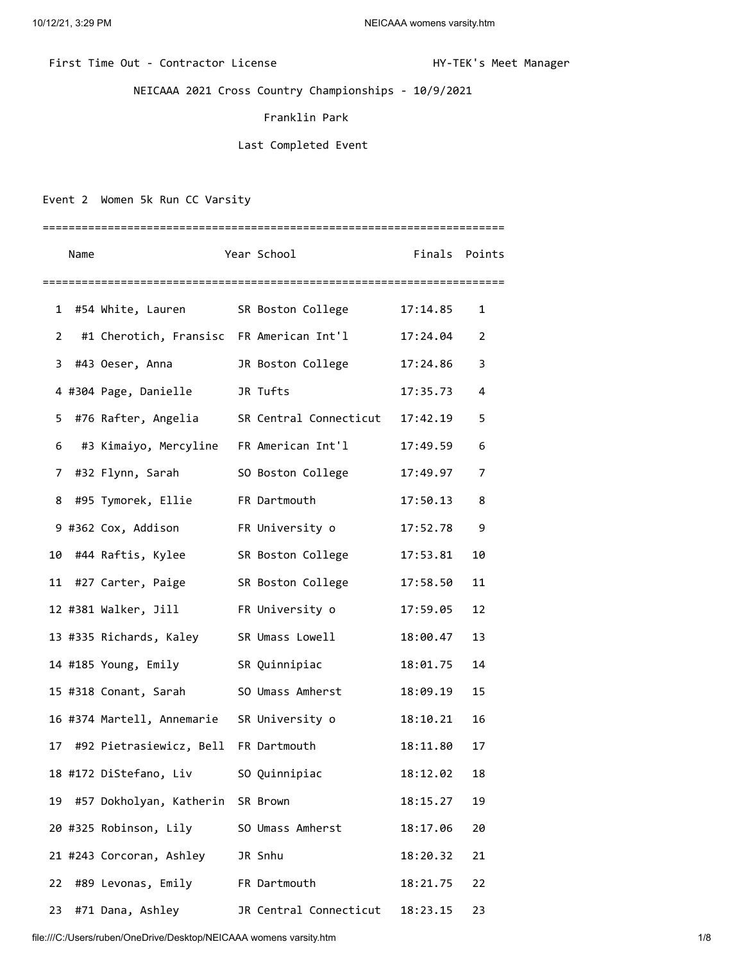## First Time Out - Contractor License Manager Manager HY-TEK's Meet Manager

NEICAAA 2021 Cross Country Championships - 10/9/2021

## Franklin Park

## Last Completed Event

Event 2 Women 5k Run CC Varsity

|    | Name |                                        | Year School                                         | Finals Points |    |
|----|------|----------------------------------------|-----------------------------------------------------|---------------|----|
|    |      |                                        |                                                     |               |    |
| 1  |      | #54 White, Lauren                      | SR Boston College                                   | 17:14.85      | 1  |
| 2  |      |                                        | #1 Cherotich, Fransisc FR American Int'l            | 17:24.04      | 2  |
| 3  |      | #43 Oeser, Anna                        | JR Boston College                                   | 17:24.86      | 3  |
|    |      | 4 #304 Page, Danielle                  | JR Tufts                                            | 17:35.73      | 4  |
| 5. |      |                                        | #76 Rafter, Angelia SR Central Connecticut 17:42.19 |               | 5  |
| 6  |      |                                        | #3 Kimaiyo, Mercyline   FR American Int'l           | 17:49.59      | 6  |
| 7  |      | #32 Flynn, Sarah                       | SO Boston College                                   | 17:49.97      | 7  |
| 8  |      | #95 Tymorek, Ellie FR Dartmouth        |                                                     | 17:50.13      | 8  |
|    |      | 9 #362 Cox, Addison FR University o    |                                                     | 17:52.78      | 9  |
| 10 |      | #44 Raftis, Kylee                      | SR Boston College                                   | 17:53.81      | 10 |
| 11 |      | #27 Carter, Paige                      | SR Boston College                                   | 17:58.50      | 11 |
|    |      | 12 #381 Walker, Jill FR University o   |                                                     | 17:59.05      | 12 |
|    |      |                                        | 13 #335 Richards, Kaley SR Umass Lowell             | 18:00.47      | 13 |
|    |      | 14 #185 Young, Emily SR Quinnipiac     |                                                     | 18:01.75      | 14 |
|    |      | 15 #318 Conant, Sarah 50 Umass Amherst |                                                     | 18:09.19      | 15 |
|    |      |                                        | 16 #374 Martell, Annemarie SR University o          | 18:10.21      | 16 |
| 17 |      | #92 Pietrasiewicz, Bell FR Dartmouth   |                                                     | 18:11.80      | 17 |
|    |      | 18 #172 DiStefano, Liv                 | SO Quinnipiac                                       | 18:12.02      | 18 |
| 19 |      | #57 Dokholyan, Katherin SR Brown       |                                                     | 18:15.27      | 19 |
|    |      | 20 #325 Robinson, Lily                 | SO Umass Amherst                                    | 18:17.06      | 20 |
|    |      | 21 #243 Corcoran, Ashley               | JR Snhu                                             | 18:20.32      | 21 |
| 22 |      | #89 Levonas, Emily                     | FR Dartmouth                                        | 18:21.75      | 22 |
| 23 |      | #71 Dana, Ashley                       | JR Central Connecticut                              | 18:23.15      | 23 |

file:///C:/Users/ruben/OneDrive/Desktop/NEICAAA womens varsity.htm 1/8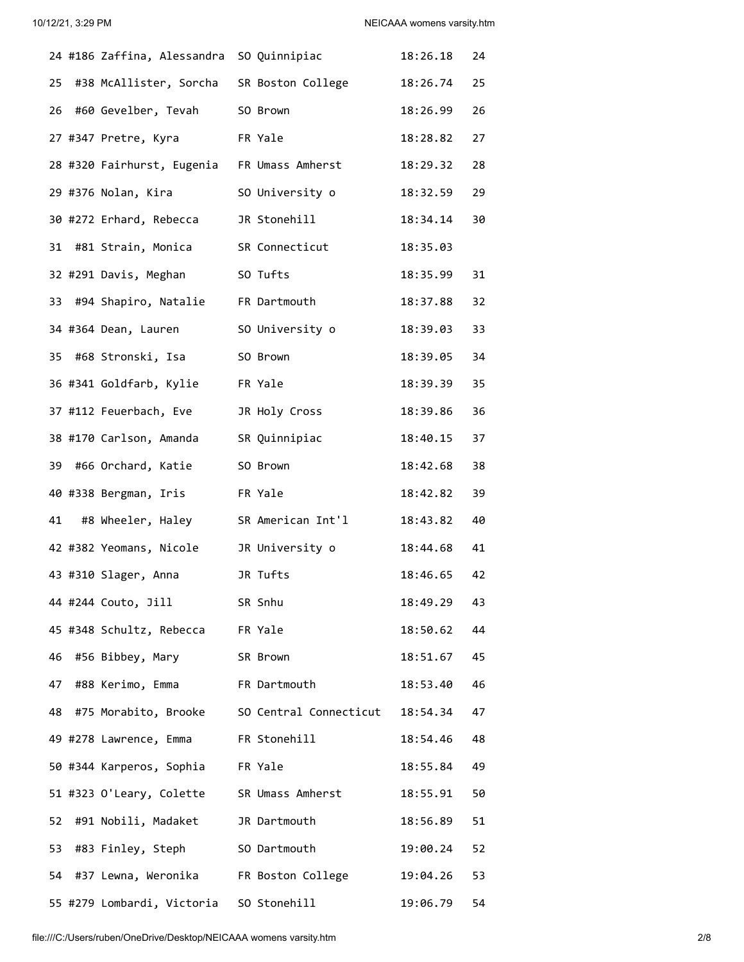|    | 24 #186 Zaffina, Alessandra SO Quinnipiac   |                                                         | 18:26.18    | 24 |
|----|---------------------------------------------|---------------------------------------------------------|-------------|----|
| 25 | #38 McAllister, Sorcha SR Boston College    |                                                         | 18:26.74    | 25 |
|    | 26 #60 Gevelber, Tevah                      | SO Brown                                                | 18:26.99    | 26 |
|    | 27 #347 Pretre, Kyra                        | FR Yale                                                 | 18:28.82    | 27 |
|    | 28 #320 Fairhurst, Eugenia FR Umass Amherst |                                                         | 18:29.32    | 28 |
|    | 29 #376 Nolan, Kira                         | SO University o                                         | 18:32.59    | 29 |
|    | 30 #272 Erhard, Rebecca                     | JR Stonehill                                            | 18:34.14    | 30 |
| 31 | #81 Strain, Monica                          | SR Connecticut                                          | 18:35.03    |    |
|    | 32 #291 Davis, Meghan                       | SO Tufts                                                | 18:35.99    | 31 |
|    | 33 #94 Shapiro, Natalie FR Dartmouth        |                                                         | 18:37.88    | 32 |
|    | 34 #364 Dean, Lauren                        | SO University o                                         | 18:39.03    | 33 |
|    | 35 #68 Stronski, Isa                        | SO Brown                                                | 18:39.05    | 34 |
|    | 36 #341 Goldfarb, Kylie                     | FR Yale                                                 | 18:39.39    | 35 |
|    | 37 #112 Feuerbach, Eve                      | JR Holy Cross                                           | 18:39.86    | 36 |
|    | 38 #170 Carlson, Amanda                     | SR Quinnipiac                                           | 18:40.15    | 37 |
| 39 | #66 Orchard, Katie                          | SO Brown                                                | 18:42.68    | 38 |
|    | 40 #338 Bergman, Iris                       | FR Yale                                                 | 18:42.82    | 39 |
| 41 | #8 Wheeler, Haley                           | SR American Int'l                                       | 18:43.82    | 40 |
|    | 42 #382 Yeomans, Nicole                     | JR University o                                         | 18:44.68    | 41 |
|    | 43 #310 Slager, Anna                        | JR Tufts                                                | 18:46.65    | 42 |
|    | 44 #244 Couto, Jill                         | SR Snhu                                                 | 18:49.29    | 43 |
|    | 45 #348 Schultz, Rebecca FR Yale            |                                                         | 18:50.62 44 |    |
| 46 | #56 Bibbey, Mary                            | SR Brown                                                | 18:51.67 45 |    |
|    | 47 #88 Kerimo, Emma FR Dartmouth            |                                                         | 18:53.40 46 |    |
|    |                                             | 48 #75 Morabito, Brooke SO Central Connecticut 18:54.34 |             | 47 |
|    | 49 #278 Lawrence, Emma FR Stonehill         |                                                         | 18:54.46 48 |    |
|    | 50 #344 Karperos, Sophia FR Yale            |                                                         | 18:55.84    | 49 |
|    | 51 #323 O'Leary, Colette SR Umass Amherst   |                                                         | 18:55.91    | 50 |
| 52 | #91 Nobili, Madaket                         | JR Dartmouth                                            | 18:56.89    | 51 |
|    | 53 #83 Finley, Steph SO Dartmouth           |                                                         | 19:00.24 52 |    |
|    |                                             | 54 #37 Lewna, Weronika FR Boston College                | 19:04.26 53 |    |
|    | 55 #279 Lombardi, Victoria SO Stonehill     |                                                         | 19:06.79    | 54 |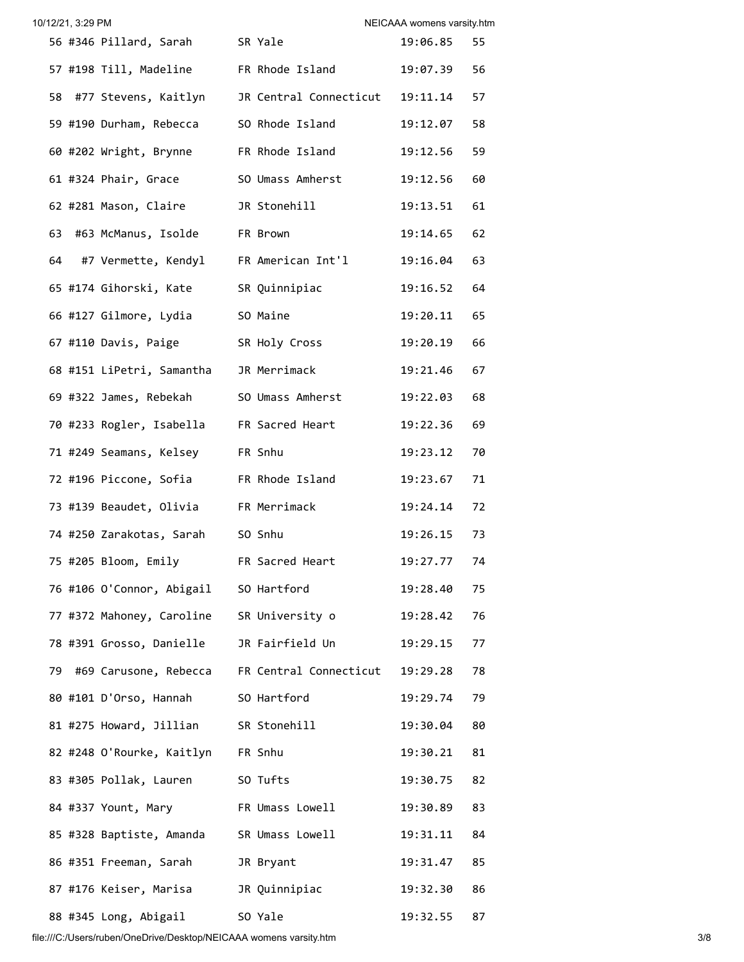| 10/12/21, 3:29 PM |                                          |                                                         | NEICAAA womens varsity.htm |    |
|-------------------|------------------------------------------|---------------------------------------------------------|----------------------------|----|
|                   | 56 #346 Pillard, Sarah SR Yale           |                                                         | 19:06.85                   | 55 |
|                   | 57 #198 Till, Madeline FR Rhode Island   |                                                         | 19:07.39 56                |    |
|                   |                                          | 58 #77 Stevens, Kaitlyn JR Central Connecticut 19:11.14 |                            | 57 |
|                   | 59 #190 Durham, Rebecca SO Rhode Island  |                                                         | 19:12.07                   | 58 |
|                   | 60 #202 Wright, Brynne FR Rhode Island   |                                                         | 19:12.56 59                |    |
|                   | 61 #324 Phair, Grace                     | SO Umass Amherst                                        | 19:12.56                   | 60 |
|                   | 62 #281 Mason, Claire                    | JR Stonehill                                            | 19:13.51 61                |    |
|                   | 63 #63 McManus, Isolde FR Brown          |                                                         | 19:14.65 62                |    |
|                   |                                          | 64 #7 Vermette, Kendyl FR American Int'l                | 19:16.04 63                |    |
|                   | 65 #174 Gihorski, Kate SR Quinnipiac     |                                                         | 19:16.52 64                |    |
|                   | 66 #127 Gilmore, Lydia SO Maine          |                                                         | 19:20.11                   | 65 |
|                   | 67 #110 Davis, Paige SR Holy Cross       |                                                         | 19:20.19                   | 66 |
|                   | 68 #151 LiPetri, Samantha JR Merrimack   |                                                         | 19:21.46                   | 67 |
|                   | 69 #322 James, Rebekah SO Umass Amherst  |                                                         | 19:22.03                   | 68 |
|                   | 70 #233 Rogler, Isabella FR Sacred Heart |                                                         | 19:22.36                   | 69 |
|                   | 71 #249 Seamans, Kelsey FR Snhu          |                                                         | 19:23.12 70                |    |
|                   | 72 #196 Piccone, Sofia FR Rhode Island   |                                                         | 19:23.67 71                |    |
|                   | 73 #139 Beaudet, Olivia FR Merrimack     |                                                         | 19:24.14 72                |    |
|                   | 74 #250 Zarakotas, Sarah SO Snhu         |                                                         | 19:26.15                   | 73 |
|                   | 75 #205 Bloom, Emily FR Sacred Heart     |                                                         | 19:27.77                   | 74 |
|                   | 76 #106 O'Connor, Abigail SO Hartford    |                                                         | 19:28.40 75                |    |
|                   |                                          | 77 #372 Mahoney, Caroline SR University o               | 19:28.42 76                |    |
|                   |                                          | 78 #391 Grosso, Danielle     JR Fairfield Un            | 19:29.15                   | 77 |
|                   |                                          | 79 #69 Carusone, Rebecca FR Central Connecticut         | 19:29.28                   | 78 |
|                   | 80 #101 D'Orso, Hannah SO Hartford       |                                                         | 19:29.74                   | 79 |
|                   | 81 #275 Howard, Jillian SR Stonehill     |                                                         | 19:30.04                   | 80 |
|                   | 82 #248 O'Rourke, Kaitlyn FR Snhu        |                                                         | 19:30.21                   | 81 |
|                   | 83 #305 Pollak, Lauren SO Tufts          |                                                         | 19:30.75                   | 82 |
|                   |                                          | 84 #337 Yount, Mary FR Umass Lowell                     | 19:30.89                   | 83 |
|                   |                                          | 85 #328 Baptiste, Amanda SR Umass Lowell                | 19:31.11                   | 84 |
|                   | 86 #351 Freeman, Sarah JR Bryant         |                                                         | 19:31.47                   | 85 |
|                   | 87 #176 Keiser, Marisa JR Quinnipiac     |                                                         | 19:32.30                   | 86 |
|                   | 88 #345 Long, Abigail 50 Yale            |                                                         | 19:32.55                   | 87 |

file:///C:/Users/ruben/OneDrive/Desktop/NEICAAA womens varsity.htm 3/8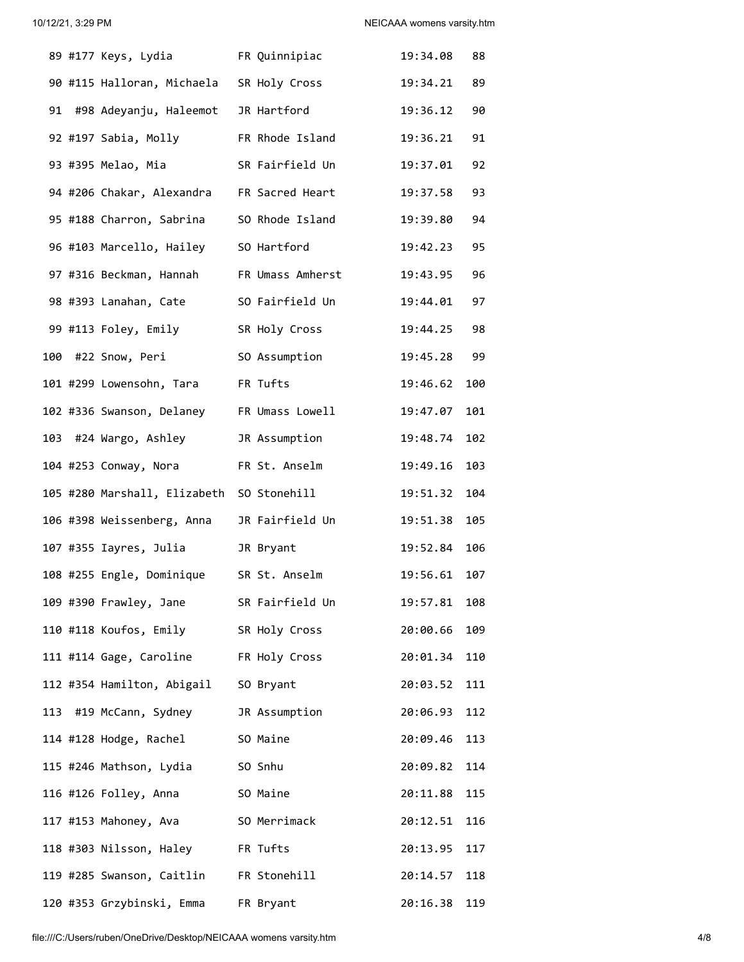|  | 89 #177 Keys, Lydia FR Quinnipiac          |                                          | 19:34.08     | 88  |
|--|--------------------------------------------|------------------------------------------|--------------|-----|
|  |                                            | 90 #115 Halloran, Michaela SR Holy Cross | 19:34.21 89  |     |
|  |                                            | 91 #98 Adeyanju, Haleemot JR Hartford    | 19:36.12 90  |     |
|  |                                            | 92 #197 Sabia, Molly FR Rhode Island     | 19:36.21 91  |     |
|  | 93 #395 Melao, Mia                         | SR Fairfield Un                          | 19:37.01 92  |     |
|  | 94 #206 Chakar, Alexandra FR Sacred Heart  |                                          | 19:37.58 93  |     |
|  | 95 #188 Charron, Sabrina SO Rhode Island   |                                          | 19:39.80 94  |     |
|  | 96 #103 Marcello, Hailey SO Hartford       |                                          | 19:42.23 95  |     |
|  |                                            | 97 #316 Beckman, Hannah FR Umass Amherst | 19:43.95 96  |     |
|  |                                            | 98 #393 Lanahan, Cate SO Fairfield Un    | 19:44.01 97  |     |
|  | 99 #113 Foley, Emily         SR Holy Cross |                                          | 19:44.25 98  |     |
|  | 100 #22 Snow, Peri                         | SO Assumption                            | 19:45.28 99  |     |
|  | 101 #299 Lowensohn, Tara     FR Tufts      |                                          | 19:46.62 100 |     |
|  | 102 #336 Swanson, Delaney FR Umass Lowell  |                                          | 19:47.07 101 |     |
|  | 103 #24 Wargo, Ashley       JR Assumption  |                                          | 19:48.74 102 |     |
|  | 104 #253 Conway, Nora FR St. Anselm        |                                          | 19:49.16 103 |     |
|  | 105 #280 Marshall, Elizabeth SO Stonehill  |                                          | 19:51.32 104 |     |
|  | 106 #398 Weissenberg, Anna JR Fairfield Un |                                          | 19:51.38 105 |     |
|  | 107 #355 Iayres, Julia 1R Bryant           |                                          | 19:52.84 106 |     |
|  |                                            | 108 #255 Engle, Dominique SR St. Anselm  | 19:56.61 107 |     |
|  | 109 #390 Frawley, Jane                     | SR Fairfield Un                          | 19:57.81     | 108 |
|  | 110 #118 Koufos, Emily SR Holy Cross       |                                          | 20:00.66     | 109 |
|  | 111 #114 Gage, Caroline FR Holy Cross      |                                          | 20:01.34     | 110 |
|  | 112 #354 Hamilton, Abigail                 | SO Bryant                                | 20:03.52     | 111 |
|  | 113 #19 McCann, Sydney                     | JR Assumption                            | 20:06.93     | 112 |
|  | 114 #128 Hodge, Rachel                     | SO Maine                                 | 20:09.46     | 113 |
|  | 115 #246 Mathson, Lydia                    | SO Snhu                                  | 20:09.82     | 114 |
|  | 116 #126 Folley, Anna                      | SO Maine                                 | 20:11.88     | 115 |
|  | 117 #153 Mahoney, Ava                      | SO Merrimack                             | 20:12.51     | 116 |
|  | 118 #303 Nilsson, Haley FR Tufts           |                                          | 20:13.95     | 117 |
|  | 119 #285 Swanson, Caitlin FR Stonehill     |                                          | 20:14.57     | 118 |
|  | 120 #353 Grzybinski, Emma                  | FR Bryant                                | 20:16.38     | 119 |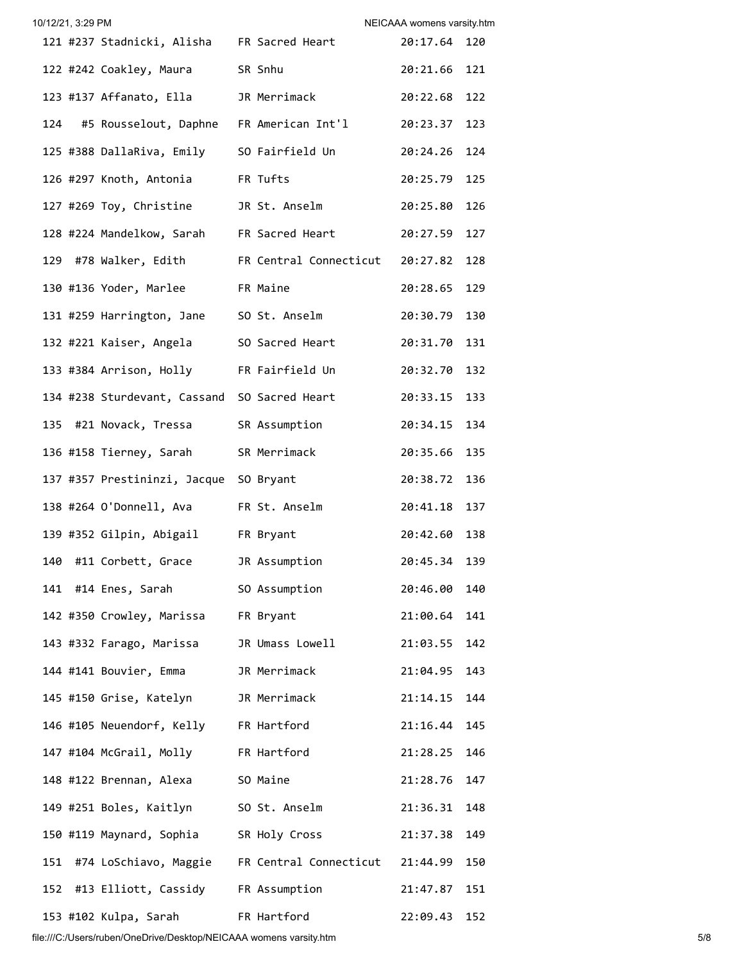| 10/12/21, 3:29 PM |                                               |                                                           | NEICAAA womens varsity.htm |     |
|-------------------|-----------------------------------------------|-----------------------------------------------------------|----------------------------|-----|
|                   | 121 #237 Stadnicki, Alisha FR Sacred Heart    |                                                           | 20:17.64 120               |     |
|                   | 122 #242 Coakley, Maura SR Snhu               |                                                           | 20:21.66 121               |     |
|                   | 123 #137 Affanato, Ella JR Merrimack          |                                                           | 20:22.68                   | 122 |
| 124               |                                               | #5 Rousselout, Daphne FR American Int'l 20:23.37          |                            | 123 |
|                   | 125 #388 DallaRiva, Emily SO Fairfield Un     |                                                           | 20:24.26                   | 124 |
|                   | 126 #297 Knoth, Antonia FR Tufts              |                                                           | 20:25.79                   | 125 |
|                   | 127 #269 Toy, Christine JR St. Anselm         |                                                           | 20:25.80                   | 126 |
|                   |                                               | 128 #224 Mandelkow, Sarah FR Sacred Heart                 | 20:27.59                   | 127 |
|                   |                                               | 129 #78 Walker, Edith FR Central Connecticut              | 20:27.82                   | 128 |
|                   | 130 #136 Yoder, Marlee FR Maine               |                                                           | 20:28.65                   | 129 |
|                   | 131 #259 Harrington, Jane SO St. Anselm       |                                                           | 20:30.79                   | 130 |
|                   | 132 #221 Kaiser, Angela SO Sacred Heart       |                                                           | 20:31.70                   | 131 |
|                   | 133 #384 Arrison, Holly FR Fairfield Un       |                                                           | 20:32.70                   | 132 |
|                   | 134 #238 Sturdevant, Cassand SO Sacred Heart  |                                                           | 20:33.15                   | 133 |
|                   | 135 #21 Novack, Tressa SR Assumption          |                                                           | 20:34.15                   | 134 |
|                   | 136 #158 Tierney, Sarah SR Merrimack          |                                                           | 20:35.66                   | 135 |
|                   | 137 #357 Prestininzi, Jacque SO Bryant        |                                                           | 20:38.72                   | 136 |
|                   | 138 #264 O'Donnell, Ava FR St. Anselm         |                                                           | 20:41.18                   | 137 |
|                   | 139 #352 Gilpin, Abigail FR Bryant            |                                                           | 20:42.60                   | 138 |
|                   | 140 #11 Corbett, Grace         JR Assumption  |                                                           | 20:45.34 139               |     |
|                   | 141 #14 Enes, Sarah             SO Assumption |                                                           | 20:46.00                   | 140 |
|                   | 142 #350 Crowley, Marissa FR Bryant           |                                                           | 21:00.64                   | 141 |
|                   | 143 #332 Farago, Marissa     JR Umass Lowell  |                                                           | 21:03.55                   | 142 |
|                   | 144 #141 Bouvier, Emma JR Merrimack           |                                                           | 21:04.95                   | 143 |
|                   | 145 #150 Grise, Katelyn       JR Merrimack    |                                                           | 21:14.15                   | 144 |
|                   | 146 #105 Neuendorf, Kelly FR Hartford         |                                                           | 21:16.44                   | 145 |
|                   | 147 #104 McGrail, Molly FR Hartford           |                                                           | 21:28.25                   | 146 |
|                   | 148 #122 Brennan, Alexa SO Maine              |                                                           | 21:28.76                   | 147 |
|                   | 149 #251 Boles, Kaitlyn SO St. Anselm         |                                                           | 21:36.31                   | 148 |
|                   | 150 #119 Maynard, Sophia SR Holy Cross        |                                                           | 21:37.38                   | 149 |
|                   |                                               | 151 #74 LoSchiavo, Maggie FR Central Connecticut 21:44.99 |                            | 150 |
|                   | 152 #13 Elliott, Cassidy FR Assumption        |                                                           | 21:47.87                   | 151 |
|                   | 153 #102 Kulpa, Sarah                         | FR Hartford                                               | 22:09.43                   | 152 |

file:///C:/Users/ruben/OneDrive/Desktop/NEICAAA womens varsity.htm 5/8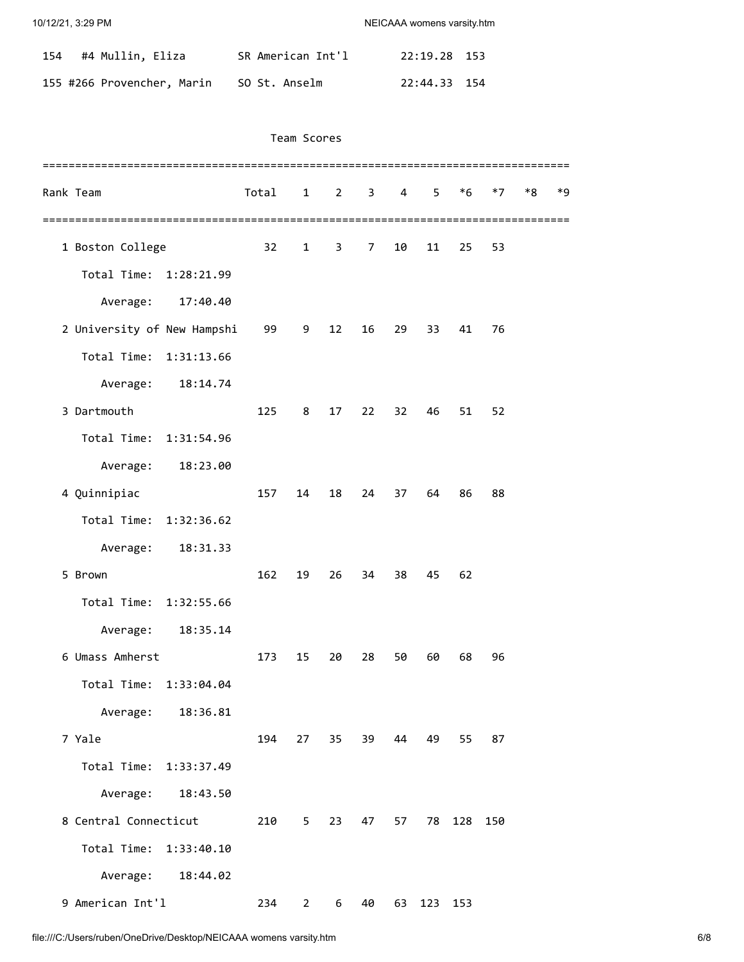| 154 #4 Mullin, Eliza       | SR American Int'l | 22:19.28 153 |  |
|----------------------------|-------------------|--------------|--|
| 155 #266 Provencher, Marin | SO St. Anselm     | 22:44.33 154 |  |

## Team Scores

| Rank Team                   |                   | Total | $1 \quad$      |              | $2 \quad 3 \quad 4$ |    | 5 <sub>1</sub> | $*6$    | $*7$ | $*8$ | $*9$ |
|-----------------------------|-------------------|-------|----------------|--------------|---------------------|----|----------------|---------|------|------|------|
|                             |                   |       |                |              |                     |    |                |         |      |      |      |
| 1 Boston College            |                   | 32    | $\mathbf{1}$   | $\mathbf{3}$ | $\overline{7}$      | 10 | 11             | 25      | 53   |      |      |
| Total Time:                 | 1:28:21.99        |       |                |              |                     |    |                |         |      |      |      |
| Average:                    | 17:40.40          |       |                |              |                     |    |                |         |      |      |      |
| 2 University of New Hampshi |                   | 99    | 9              | 12           | 16                  | 29 | 33             | 41      | 76   |      |      |
| Total Time:                 | 1:31:13.66        |       |                |              |                     |    |                |         |      |      |      |
| Average:                    | 18:14.74          |       |                |              |                     |    |                |         |      |      |      |
| 3 Dartmouth                 |                   | 125   | 8              | 17           | 22                  | 32 | 46             | 51      | 52   |      |      |
| Total Time: 1:31:54.96      |                   |       |                |              |                     |    |                |         |      |      |      |
| Average:                    | 18:23.00          |       |                |              |                     |    |                |         |      |      |      |
| 4 Quinnipiac                |                   | 157   | 14             | 18           | 24                  | 37 | 64             | 86      | 88   |      |      |
| Total Time:                 | 1:32:36.62        |       |                |              |                     |    |                |         |      |      |      |
| Average:                    | 18:31.33          |       |                |              |                     |    |                |         |      |      |      |
| 5 Brown                     |                   | 162   | 19             | 26           | 34                  | 38 | 45             | 62      |      |      |      |
| Total Time:                 | 1:32:55.66        |       |                |              |                     |    |                |         |      |      |      |
| Average:                    | 18:35.14          |       |                |              |                     |    |                |         |      |      |      |
| 6 Umass Amherst             |                   | 173   | 15             | 20           | 28                  | 50 | 60             | 68      | 96   |      |      |
| Total Time: 1:33:04.04      |                   |       |                |              |                     |    |                |         |      |      |      |
| Average:                    | 18:36.81          |       |                |              |                     |    |                |         |      |      |      |
| 7 Yale                      |                   | 194   |                |              | 27 35 39 44         |    | 49             | 55      | 87   |      |      |
| Total Time: 1:33:37.49      |                   |       |                |              |                     |    |                |         |      |      |      |
|                             | Average: 18:43.50 |       |                |              |                     |    |                |         |      |      |      |
| 8 Central Connecticut       |                   | 210   | 5 <sub>1</sub> | 23           | 47                  | 57 |                | 78 128  | 150  |      |      |
| Total Time:                 | 1:33:40.10        |       |                |              |                     |    |                |         |      |      |      |
| Average:                    | 18:44.02          |       |                |              |                     |    |                |         |      |      |      |
| 9 American Int'l            |                   | 234   | $2^{\circ}$    | 6            | 40                  | 63 |                | 123 153 |      |      |      |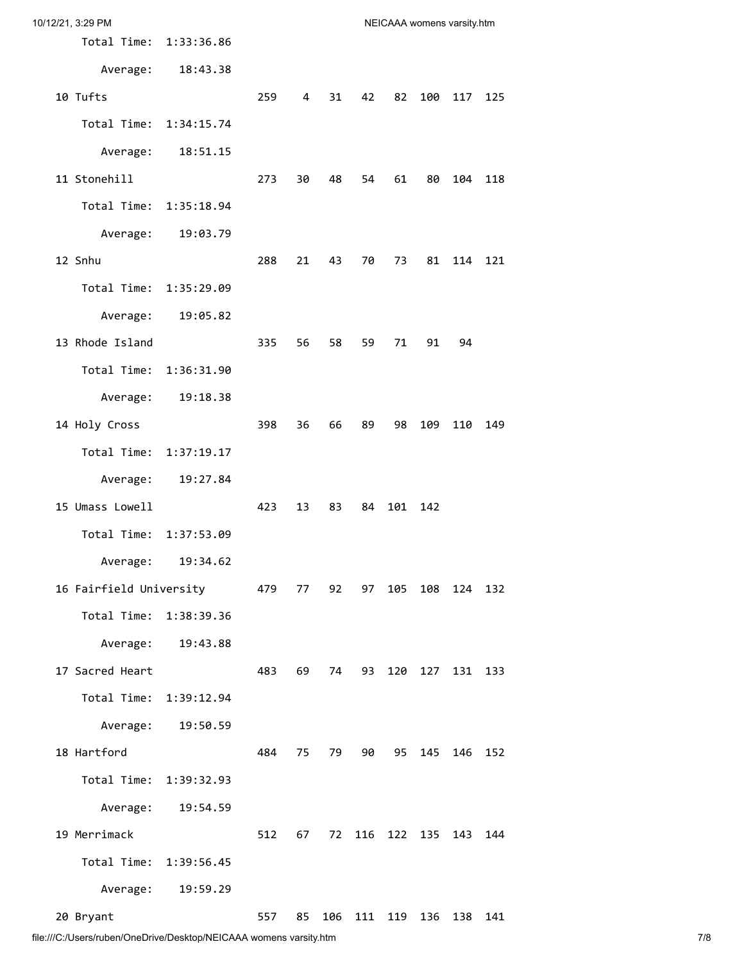| 10/12/21, 3:29 PM       |                        |     |    |    |         |     | NEICAAA womens varsity.htm |     |     |
|-------------------------|------------------------|-----|----|----|---------|-----|----------------------------|-----|-----|
|                         | Total Time: 1:33:36.86 |     |    |    |         |     |                            |     |     |
| Average:                | 18:43.38               |     |    |    |         |     |                            |     |     |
| 10 Tufts                |                        | 259 | 4  | 31 | 42      | 82  | 100                        | 117 | 125 |
|                         | Total Time: 1:34:15.74 |     |    |    |         |     |                            |     |     |
| Average:                | 18:51.15               |     |    |    |         |     |                            |     |     |
| 11 Stonehill            |                        | 273 | 30 | 48 | 54      | 61  | 80                         | 104 | 118 |
|                         | Total Time: 1:35:18.94 |     |    |    |         |     |                            |     |     |
| Average:                | 19:03.79               |     |    |    |         |     |                            |     |     |
| 12 Snhu                 |                        | 288 | 21 | 43 | 70      | 73  | 81                         | 114 | 121 |
|                         | Total Time: 1:35:29.09 |     |    |    |         |     |                            |     |     |
| Average:                | 19:05.82               |     |    |    |         |     |                            |     |     |
| 13 Rhode Island         |                        | 335 | 56 | 58 | 59      | 71  | 91                         | 94  |     |
| Total Time:             | 1:36:31.90             |     |    |    |         |     |                            |     |     |
| Average:                | 19:18.38               |     |    |    |         |     |                            |     |     |
| 14 Holy Cross           |                        | 398 | 36 | 66 | 89      | 98  | 109                        | 110 | 149 |
| Total Time:             | 1:37:19.17             |     |    |    |         |     |                            |     |     |
| Average:                | 19:27.84               |     |    |    |         |     |                            |     |     |
| 15 Umass Lowell         |                        | 423 | 13 | 83 | 84      | 101 | 142                        |     |     |
| Total Time:             | 1:37:53.09             |     |    |    |         |     |                            |     |     |
| Average:                | 19:34.62               |     |    |    |         |     |                            |     |     |
| 16 Fairfield University |                        | 479 | 77 | 92 | 97      | 105 | 108                        | 124 | 132 |
|                         | Total Time: 1:38:39.36 |     |    |    |         |     |                            |     |     |
| Average:                | 19:43.88               |     |    |    |         |     |                            |     |     |
| 17 Sacred Heart         |                        | 483 | 69 | 74 | 93      | 120 | 127                        | 131 | 133 |
| Total Time:             | 1:39:12.94             |     |    |    |         |     |                            |     |     |
| Average:                | 19:50.59               |     |    |    |         |     |                            |     |     |
| 18 Hartford             |                        | 484 | 75 | 79 | 90      | 95  | 145                        | 146 | 152 |
| Total Time:             | 1:39:32.93             |     |    |    |         |     |                            |     |     |
| Average:                | 19:54.59               |     |    |    |         |     |                            |     |     |
| 19 Merrimack            |                        | 512 | 67 | 72 | 116     | 122 | 135                        | 143 | 144 |
| Total Time:             | 1:39:56.45             |     |    |    |         |     |                            |     |     |
| Average:                | 19:59.29               |     |    |    |         |     |                            |     |     |
| 20 Bryant               |                        | 557 | 85 |    | 106 111 | 119 | 136                        | 138 | 141 |

file:///C:/Users/ruben/OneDrive/Desktop/NEICAAA womens varsity.htm 7/8